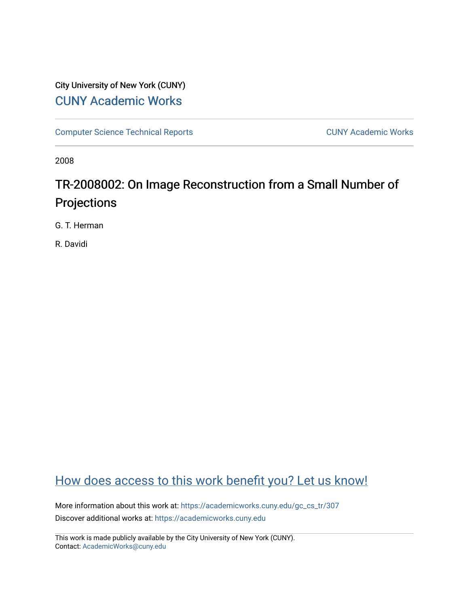### City University of New York (CUNY) [CUNY Academic Works](https://academicworks.cuny.edu/)

[Computer Science Technical Reports](https://academicworks.cuny.edu/gc_cs_tr) **CUNY Academic Works** CUNY Academic Works

2008

# TR-2008002: On Image Reconstruction from a Small Number of Projections

G. T. Herman

R. Davidi

## [How does access to this work benefit you? Let us know!](http://ols.cuny.edu/academicworks/?ref=https://academicworks.cuny.edu/gc_cs_tr/307)

More information about this work at: [https://academicworks.cuny.edu/gc\\_cs\\_tr/307](https://academicworks.cuny.edu/gc_cs_tr/307)  Discover additional works at: [https://academicworks.cuny.edu](https://academicworks.cuny.edu/?)

This work is made publicly available by the City University of New York (CUNY). Contact: [AcademicWorks@cuny.edu](mailto:AcademicWorks@cuny.edu)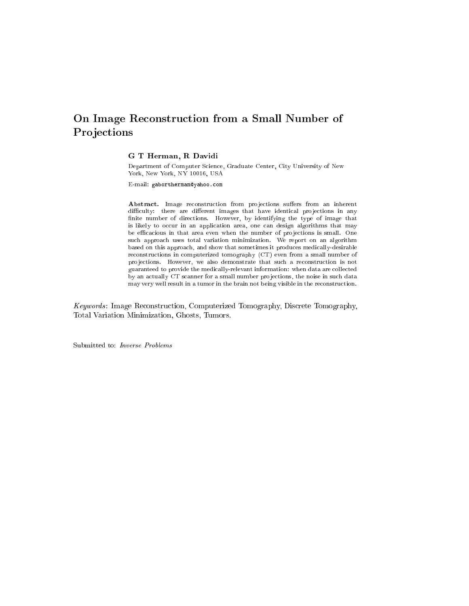### On Image Reconstruction from <sup>a</sup> Small Number of **Projections**

#### G T Herman, R Davidi

Department of Computer Science, Graduate Center, City University of New York, New York, NY 10016, USA

E-mail: gabortherman@yahoo.com

Abstract. Image reconstruction from projections suffers from an inherent difficulty: there are different images that have identical projections in any finite number of directions. However, by identifying the type of image that is likely to occur in an application area, one can design algorithms that may be efficacious in that area even when the number of projections is small. One such approach uses total variation minimization. We report on an algorithm based on this approach, and show that sometimes it produces medically-desirable reconstructions in computerized tomography (CT) even from a small number of projections. However, we also demonstrate that such a reconstruction is not guaranteed to provide the medically-relevant information: when data are collected by an actually CT scanner for a small number projections, the noise in such data may very well result in a tumor in the brain not being visible in the reconstruction.

Keywords : Image Reconstruction, Computerized Tomography, Discrete Tomography, Total Variation Minimization, Ghosts, Tumors.

Submitted to: Inverse Problems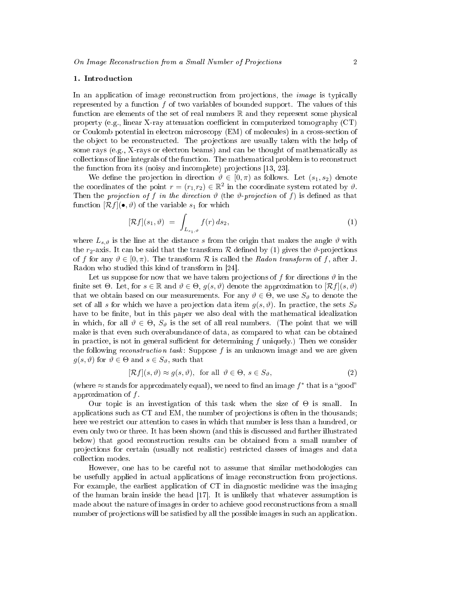#### 1. Introduction

In an application of image reconstruction from projections, the *image* is typically represented by a function  $f$  of two variables of bounded support. The values of this function are elements of the set of real numbers  $\mathbb R$  and they represent some physical property (e.g., linear X-ray attenuation coefficient in computerized tomography  $(CT)$ or Coulomb potential in electron microscopy (EM) of molecules) in a cross-section of the object to be reconstructed. The projections are usually taken with the help of some rays (e.g., X-rays or electron beams) and can be thought of mathematically as collections of line integrals of the function. The mathematical problem is to reconstruct the function from its (noisy and incomplete) projections [13, 23].

We define the projection in direction  $\vartheta \in [0, \pi)$  as follows. Let  $(s_1, s_2)$  denote the coordinates of the point  $r = (r_1, r_2) \in \mathbb{R}^2$  in the coordinate system rotated by  $\vartheta$ . Then the projection of f in the direction  $\vartheta$  (the  $\vartheta$ -projection of f) is defined as that function  $[\mathcal{R}f](\bullet,\vartheta)$  of the variable  $s_1$  for which

$$
[\mathcal{R}f](s_1,\vartheta) = \int_{L_{s_1,\vartheta}} f(r) ds_2, \qquad (1)
$$

where  $L_{s,\vartheta}$  is the line at the distance s from the origin that makes the angle  $\vartheta$  with the  $r_2$ -axis. It can be said that the transform R defined by (1) gives the  $\vartheta$ -projections of f for any  $\vartheta \in [0, \pi)$ . The transform R is called the Radon transform of f, after J. Radon who studied this kind of transform in [24].

Let us suppose for now that we have taken projections of f for directions  $\vartheta$  in the finite set  $\Theta$ . Let, for  $s \in \mathbb{R}$  and  $\vartheta \in \Theta$ ,  $g(s, \vartheta)$  denote the approximation to  $\mathcal{R}f|(s, \vartheta)$ that we obtain based on our measurements. For any  $\vartheta \in \Theta$ , we use  $S_{\vartheta}$  to denote the set of all s for which we have a projection data item  $q(s, \vartheta)$ . In practice, the sets  $S_{\vartheta}$ have to be finite, but in this paper we also deal with the mathematical idealization in which, for all  $\vartheta \in \Theta$ ,  $S_{\vartheta}$  is the set of all real numbers. (The point that we will make is that even such overabundance of data, as compared to what can be obtained in practice, is not in general sufficient for determining f uniquely.) Then we consider the following *reconstruction task*: Suppose  $f$  is an unknown image and we are given  $g(s, \vartheta)$  for  $\vartheta \in \Theta$  and  $s \in S_{\vartheta}$ , such that

$$
[\mathcal{R}f](s,\vartheta) \approx g(s,\vartheta), \text{ for all } \vartheta \in \Theta, s \in S_{\vartheta}, \tag{2}
$$

(where  $\approx$  stands for approximately equal), we need to find an image  $f^*$  that is a "good" approximation of  $f$ .

Our topic is an investigation of this task when the size of  $\Theta$  is small. In applications such as  $CT$  and  $EM$ , the number of projections is often in the thousands; here we restrict our attention to cases in which that number is less than a hundred, or even only two or three. It has been shown (and this is discussed and further illustrated below) that good reconstruction results can be obtained from a small number of projections for certain (usually not realistic) restricted classes of images and data collection modes.

However, one has to be careful not to assume that similar methodologies can be usefully applied in actual applications of image reconstruction from projections. For example, the earliest application of CT in diagnostic medicine was the imaging of the human brain inside the head [17]. It is unlikely that whatever assumption is made about the nature of images in order to achieve good reconstructions from a small number of projections will be satisfied by all the possible images in such an application.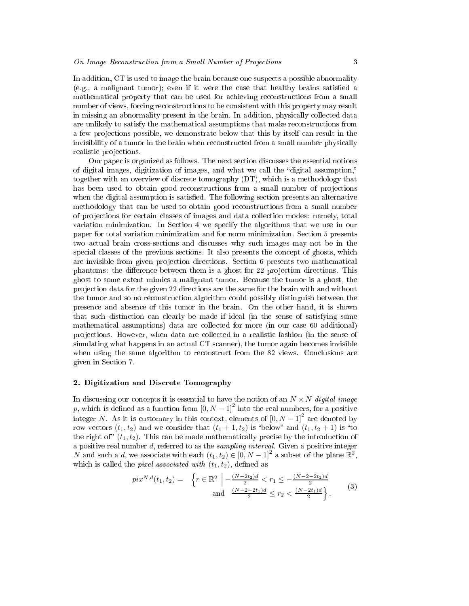In addition, CT is used to image the brain because one suspects a possible abnormality  $(e.g., a$  malignant tumor); even if it were the case that healthy brains satisfied a mathematical property that can be used for achieving reconstructions from a small number of views, forcing reconstructions to be consistent with this property may result in missing an abnormality present in the brain. In addition, physically collected data are unlikely to satisfy the mathematical assumptions that make reconstructions from a few projections possible, we demonstrate below that this by itself can result in the invisibility of a tumor in the brain when reconstructed from a small number physically realistic projections.

Our paper is organized as follows. The next section discusses the essential notions of digital images, digitization of images, and what we call the "digital assumption," together with an overview of discrete tomography (DT), which is a methodology that has been used to obtain good reconstructions from a small number of projections when the digital assumption is satisfied. The following section presents an alternative methodology that can be used to obtain good reconstructions from a small number of pro jections for certain classes of images and data collection modes: namely, total variation minimization. In Section 4 we specify the algorithms that we use in our paper for total variation minimization and for norm minimization. Section 5 presents two actual brain cross-sections and discusses why such images may not be in the special classes of the previous sections. It also presents the concept of ghosts, which are invisible from given projection directions. Section 6 presents two mathematical phantoms: the difference between them is a ghost for 22 projection directions. This ghost to some extent mimics a malignant tumor. Because the tumor is a ghost, the pro jection data for the given 22 directions are the same for the brain with and without the tumor and so no reconstruction algorithm could possibly distinguish between the presence and absence of this tumor in the brain. On the other hand, it is shown that such distinction can clearly be made if ideal (in the sense of satisfying some mathematical assumptions) data are collected for more (in our case 60 additional) pro jections. However, when data are collected in a realistic fashion (in the sense of simulating what happens in an actual CT scanner), the tumor again becomes invisible when using the same algorithm to reconstruct from the 82 views. Conclusions are given in Section 7.

#### 2. Digitization and Discrete Tomography

In discussing our concepts it is essential to have the notion of an  $N \times N$  digital image p, which is defined as a function from  $[0, N - 1]^2$  into the real numbers, for a positive integer N. As it is customary in this context, elements of  $[0, N-1]^2$  are denoted by row vectors  $(t_1, t_2)$  and we consider that  $(t_1 + 1, t_2)$  is "below" and  $(t_1, t_2 + 1)$  is "to the right of"  $(t_1, t_2)$ . This can be made mathematically precise by the introduction of a positive real number  $d$ , referred to as the *sampling interval*. Given a positive integer N and such a d, we associate with each  $(t_1, t_2) \in [0, N-1]^2$  a subset of the plane  $\mathbb{R}^2$ , which is called the *pixel associated with*  $(t_1, t_2)$ , defined as

$$
pix^{N,d}(t_1, t_2) = \left\{ r \in \mathbb{R}^2 \mid -\frac{(N-2t_2)d}{2} < r_1 \le -\frac{(N-2-2t_2)d}{2} \\ \text{and } \frac{(N-2-2t_1)d}{2} \le r_2 < \frac{(N-2t_1)d}{2} \right\} . \tag{3}
$$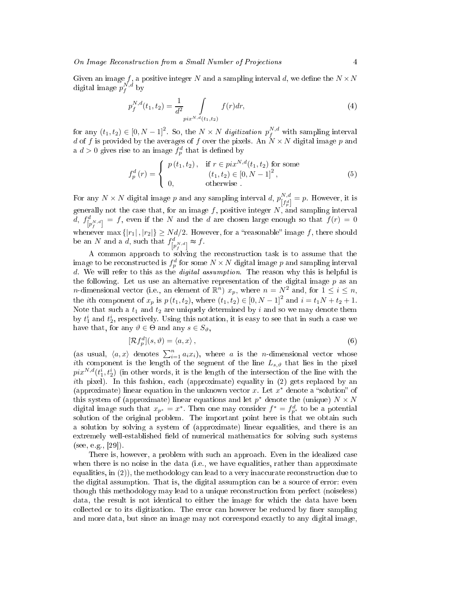Given an image  $f,$  a positive integer  $N$  and a sampling interval  $d,$  we define the  $N \times N$ digital image  $p_f^{N,d}$  by

$$
p_f^{N,d}(t_1, t_2) = \frac{1}{d^2} \int_{pix^{N,d}(t_1, t_2)} f(r) dr,
$$
\n(4)

for any  $(t_1, t_2) \in [0, N - 1]^2$ . So, the  $N \times N$  digitization  $p_f^{N,d}$  with sampling interval d of f is provided by the averages of f over the pixels. An  $N \times N$  digital image p and a  $d > 0$  gives rise to an image  $f_p^d$  that is defined by

$$
f_p^d(r) = \begin{cases} p(t_1, t_2), & \text{if } r \in \text{pix}^{N, d}(t_1, t_2) \text{ for some} \\ (t_1, t_2) \in [0, N - 1]^2, \\ 0, & \text{otherwise} \end{cases}
$$
(5)

For any  $N \times N$  digital image p and any sampling interval d,  $p_{[L,d]}^{N,d}$  $\begin{bmatrix} N, a \\ \lceil f_p^d \rceil \end{bmatrix} = p$ . However, it is generally not the case that, for an image f, positive integer  $N$ , and sampling interval  $d, f_{[p_f^{A,N,d}]}^d = f$ , even if the N and the d are chosen large enough so that  $f(r) = 0$ whenever max  $\{|r_1|, |r_2|\} \geq Nd/2$ . However, for a "reasonable" image f, there should be an N and a d, such that  $f_{\left[p_f^N,d\right]}^d \approx f$ .

A common approach to solving the reconstruction task is to assume that the image to be reconstructed is  $f^d_p$  for some  $N \times N$  digital image  $p$  and sampling interval d. We will refer to this as the *digital assumption*. The reason why this is helpful is the following. Let us use an alternative representation of the digital image  $p$  as an *n*-dimensional vector (i.e., an element of  $\mathbb{R}^n$ )  $x_p$ , where  $n = N^2$  and, for  $1 \le i \le n$ , the *i*th component of  $x_p$  is  $p(t_1, t_2)$ , where  $(t_1, t_2) \in [0, N - 1]^2$  and  $i = t_1 N + t_2 + 1$ . Note that such a  $t_1$  and  $t_2$  are uniquely determined by i and so we may denote them by  $t_1^i$  and  $t_2^i$ , respectively. Using this notation, it is easy to see that in such a case we have that, for any  $\vartheta \in \Theta$  and any  $s \in S_{\vartheta}$ ,

$$
[\mathcal{R}f_p^d](s,\vartheta) = \langle a,x\rangle\,,\tag{6}
$$

(as usual,  $\langle a, x \rangle$  denotes  $\sum_{i=1}^{n} a_i x_i$ ), where a is the n-dimensional vector whose ith component is the length of the segment of the line  $L_{s,\vartheta}$  that lies in the pixel  $pix^{N,d}(t_1^i,t_2^i)$  (in other words, it is the length of the intersection of the line with the ith pixel). In this fashion, each (approximate) equality in (2) gets replaced by an (approximate) linear equation in the unknown vector x. Let  $x^*$  denote a "solution" of this system of (approximate) linear equations and let  $p^*$  denote the (unique)  $N \times N$ digital image such that  $x_{p^*} = x^*$ . Then one may consider  $f^* = f_{p^*}^d$  to be a potential solution of the original problem. The important point here is that we obtain such a solution by solving a system of (approximate) linear equalities, and there is an extremely well-established field of numerical mathematics for solving such systems (see, e.g., [29]).

There is, however, a problem with such an approach. Even in the idealized case when there is no noise in the data (i.e., we have equalities, rather than approximate equalities, in  $(2)$ ), the methodology can lead to a very inaccurate reconstruction due to the digital assumption. That is, the digital assumption can be a source of error: even though this methodology may lead to a unique reconstruction from perfect (noiseless) data, the result is not identical to either the image for which the data have been collected or to its digitization. The error can however be reduced by finer sampling and more data, but since an image may not correspond exactly to any digital image,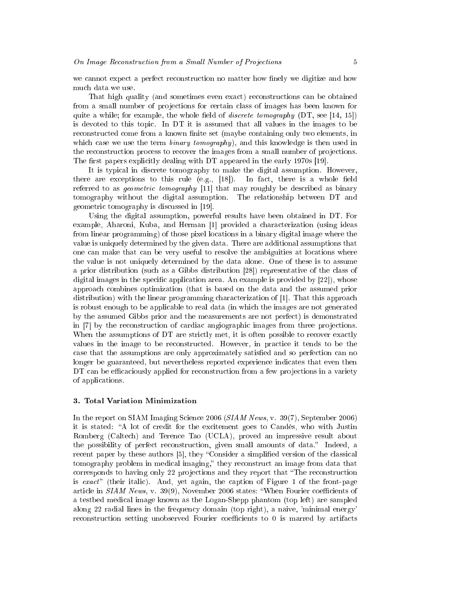we cannot expect a perfect reconstruction no matter how finely we digitize and how much data we use.

That high quality (and sometimes even exact) reconstructions can be obtained from a small number of projections for certain class of images has been known for quite a while; for example, the whole field of *discrete tomography* (DT, see [14, 15]) is devoted to this topic. In DT it is assumed that all values in the images to be reconstructed come from a known finite set (maybe containing only two elements, in which case we use the term  $\text{binary tomography}$ , and this knowledge is then used in the reconstruction process to recover the images from a small number of projections. The first papers explicitly dealing with  $DT$  appeared in the early 1970s [19].

It is typical in discrete tomography to make the digital assumption. However, there are exceptions to this rule  $(e.g., [18])$ . In fact, there is a whole field referred to as *geometric tomography* [11] that may roughly be described as binary tomography without the digital assumption. The relationship between DT and geometric tomography is discussed in [19].

Using the digital assumption, powerful results have been obtained in DT. For example, Aharoni, Kuba, and Herman [1] provided a characterization (using ideas from linear programming) of those pixel locations in a binary digital image where the value is uniquely determined by the given data. There are additional assumptions that one can make that can be very useful to resolve the ambiguities at locations where the value is not uniquely determined by the data alone. One of these is to assume a prior distribution (such as a Gibbs distribution [28]) representative of the class of digital images in the specific application area. An example is provided by  $[22]$ , whose approach combines optimization (that is based on the data and the assumed prior distribution) with the linear programming characterization of [1]. That this approach is robust enough to be applicable to real data (in which the images are not generated by the assumed Gibbs prior and the measurements are not perfect) is demonstrated in [7] by the reconstruction of cardiac angiographic images from three projections. When the assumptions of DT are strictly met, it is often possible to recover exactly values in the image to be reconstructed. However, in practice it tends to be the case that the assumptions are only approximately satisfied and so perfection can no longer be guaranteed, but nevertheless reported experience indicates that even then DT can be efficaciously applied for reconstruction from a few projections in a variety of applications.

#### 3. Total Variation Minimization

In the report on SIAM Imaging Science 2006 (SIAM News, v. 39(7), September 2006) it is stated: A lot of credit for the excitement goes to Candès, who with Justin Romberg (Caltech) and Terence Tao (UCLA), proved an impressive result about the possibility of perfect reconstruction, given small amounts of data." Indeed, a recent paper by these authors [5], they "Consider a simplified version of the classical tomography problem in medical imaging," they reconstruct an image from data that corresponds to having only 22 projections and they report that "The reconstruction" is exact" (their italic). And, yet again, the caption of Figure 1 of the front-page article in  $SIAM$  News, v. 39(9), November 2006 states: "When Fourier coefficients of a testbed medical image known as the Logan-Shepp phantom (top left) are sampled along 22 radial lines in the frequency domain (top right), a naive, 'minimal energy' reconstruction setting unobserved Fourier coefficients to 0 is marred by artifacts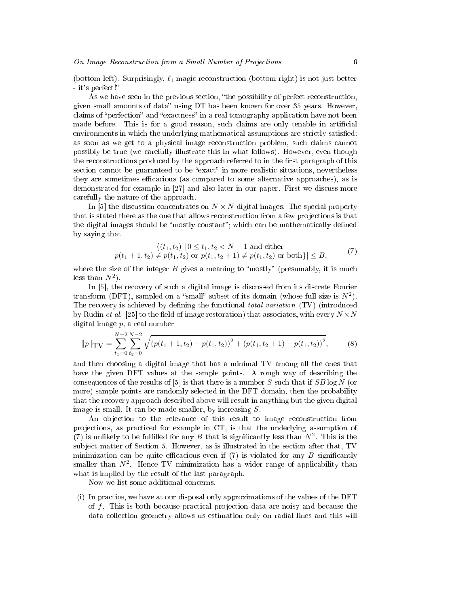(bottom left). Surprisingly,  $\ell_1$ -magic reconstruction (bottom right) is not just better - it's perfect!

As we have seen in the previous section, "the possibility of perfect reconstruction, given small amounts of data" using  $DT$  has been known for over 35 years. However, claims of "perfection" and "exactness" in a real tomography application have not been made before. This is for a good reason, such claims are only tenable in articial environments in which the underlying mathematical assumptions are strictly satisfied: as soon as we get to a physical image reconstruction problem, such claims cannot possibly be true (we carefully illustrate this in what follows). However, even though the reconstructions produced by the approach referred to in the first paragraph of this section cannot be guaranteed to be "exact" in more realistic situations, nevertheless they are sometimes efficacious (as compared to some alternative approaches), as is demonstrated for example in [27] and also later in our paper. First we discuss more carefully the nature of the approach.

In [5] the discussion concentrates on  $N \times N$  digital images. The special property that is stated there as the one that allows reconstruction from a few projections is that the digital images should be "mostly constant"; which can be mathematically defined by saying that

$$
|\{(t_1, t_2) \mid 0 \le t_1, t_2 < N - 1 \text{ and either}
$$
  

$$
p(t_1 + 1, t_2) \ne p(t_1, t_2) \text{ or } p(t_1, t_2 + 1) \ne p(t_1, t_2) \text{ or both}\}| \le B,
$$
 (7)

where the size of the integer  $B$  gives a meaning to "mostly" (presumably, it is much less than  $N^2$ ).

In [5], the recovery of such a digital image is discussed from its discrete Fourier transform (DFT), sampled on a "small" subset of its domain (whose full size is  $N^2$ ). The recovery is achieved by defining the functional *total variation* (TV) (introduced by Rudin *et al.* [25] to the field of image restoration) that associates, with every  $N \times N$ digital image p, a real number

$$
||p||_{\text{TV}} = \sum_{t_1=0}^{N-2} \sum_{t_2=0}^{N-2} \sqrt{\left(p(t_1+1, t_2) - p(t_1, t_2)\right)^2 + \left(p(t_1, t_2+1) - p(t_1, t_2)\right)^2},\tag{8}
$$

and then choosing a digital image that has a minimal TV among all the ones that have the given DFT values at the sample points. A rough way of describing the consequences of the results of [5] is that there is a number S such that if  $SB \log N$  (or more) sample points are randomly selected in the DFT domain, then the probability that the recovery approach described above will result in anything but the given digital image is small. It can be made smaller, by increasing  $S$ .

An objection to the relevance of this result to image reconstruction from pro jections, as practiced for example in CT, is that the underlying assumption of (7) is unlikely to be fulfilled for any B that is significantly less than  $N^2$ . This is the sub ject matter of Section 5. However, as is illustrated in the section after that, TV minimization can be quite efficacious even if  $(7)$  is violated for any B significantly smaller than  $N^2$ . Hence TV minimization has a wider range of applicability than what is implied by the result of the last paragraph.

Now we list some additional concerns.

(i) In practice, we have at our disposal only approximations of the values of the DFT of  $f$ . This is both because practical projection data are noisy and because the data collection geometry allows us estimation only on radial lines and this will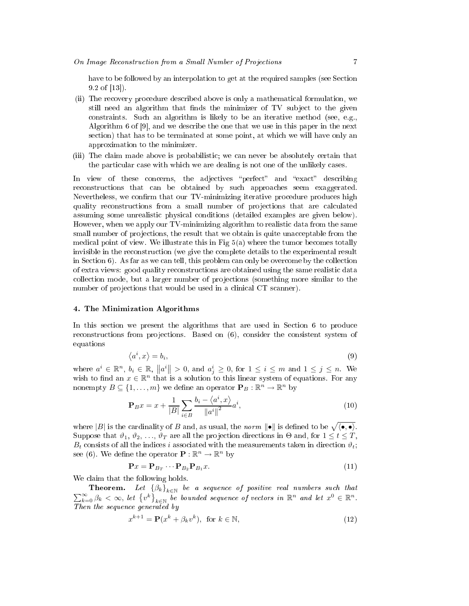have to be followed by an interpolation to get at the required samples (see Section 9.2 of [13]).

- (ii) The recovery procedure described above is only a mathematical formulation, we still need an algorithm that finds the minimizer of TV subject to the given constraints. Such an algorithm is likely to be an iterative method (see, e.g., Algorithm 6 of [9], and we describe the one that we use in this paper in the next section) that has to be terminated at some point, at which we will have only an approximation to the minimizer.
- (iii) The claim made above is probabilistic; we can never be absolutely certain that the particular case with which we are dealing is not one of the unlikely cases.

In view of these concerns, the adjectives "perfect" and "exact" describing reconstructions that can be obtained by such approaches seem exaggerated. Nevertheless, we confirm that our  $TV$ -minimizing iterative procedure produces high quality reconstructions from a small number of projections that are calculated assuming some unrealistic physical conditions (detailed examples are given below). However, when we apply our TV-minimizing algorithm to realistic data from the same small number of projections, the result that we obtain is quite unacceptable from the medical point of view. We illustrate this in Fig  $5(a)$  where the tumor becomes totally invisible in the reconstruction (we give the complete details to the experimental result in Section 6). As far as we can tell, this problem can only be overcome by the collection of extra views: good quality reconstructions are obtained using the same realistic data collection mode, but a larger number of projections (something more similar to the number of projections that would be used in a clinical CT scanner).

#### 4. The Minimization Algorithms

In this section we present the algorithms that are used in Section 6 to produce reconstructions from projections. Based on  $(6)$ , consider the consistent system of equations

$$
\langle a^i, x \rangle = b_i,\tag{9}
$$

where  $a^i \in \mathbb{R}^n$ ,  $b_i \in \mathbb{R}$ ,  $||a^i|| > 0$ , and  $a_j^i \geq 0$ , for  $1 \leq i \leq m$  and  $1 \leq j \leq n$ . We wish to find an  $x \in \mathbb{R}^n$  that is a solution to this linear system of equations. For any nonempty  $B \subseteq \{1, \ldots, m\}$  we define an operator  $\mathbf{P}_B : \mathbb{R}^n \to \mathbb{R}^n$  by

$$
\mathbf{P}_B x = x + \frac{1}{|B|} \sum_{i \in B} \frac{b_i - \langle a^i, x \rangle}{\|a^i\|^2} a^i,
$$
\n(10)

where  $|B|$  is the cardinality of B and, as usual, the norm  $\|\bullet\|$  is defined to be  $\sqrt{\langle \bullet, \bullet \rangle}$ . Suppose that  $\vartheta_1, \vartheta_2, \ldots, \vartheta_T$  are all the projection directions in  $\Theta$  and, for  $1 \leq t \leq T$ ,  $B_t$  consists of all the indices i associated with the measurements taken in direction  $\vartheta_t$ ; see (6). We define the operator  $\mathbf{P} : \mathbb{R}^n \to \mathbb{R}^n$  by

$$
\mathbf{P}x = \mathbf{P}_{B_T} \cdots \mathbf{P}_{B_2} \mathbf{P}_{B_1} x. \tag{11}
$$

We claim that the following holds.

**Theorem.** Let  $\{\beta_k\}_{k\in\mathbb{N}}$  be a sequence of positive real numbers such that  $\sum_{k=0}^{\infty} \beta_k < \infty$ , let  $\{v^k\}_{k \in \mathbb{N}}$  be bounded sequence of vectors in  $\mathbb{R}^n$  and let  $x^0 \in \mathbb{R}^n$ . Then the sequence generated by the sequence generated by the sequence generated by  $\mathcal{L}_\mathbf{z}$ 

$$
x^{k+1} = \mathbf{P}(x^k + \beta_k v^k), \text{ for } k \in \mathbb{N},
$$
\n(12)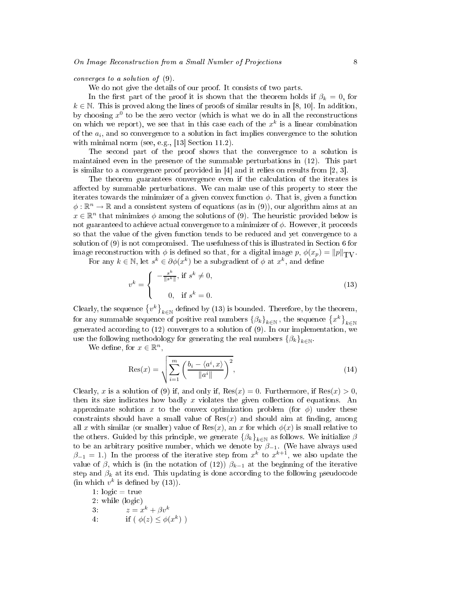converges to a solution of (9).

We do not give the details of our proof. It consists of two parts.

In the first part of the proof it is shown that the theorem holds if  $\beta_k = 0$ , for  $k \in \mathbb{N}$ . This is proved along the lines of proofs of similar results in [8, 10]. In addition, by choosing  $x^0$  to be the zero vector (which is what we do in all the reconstructions on which we report), we see that in this case each of the  $x^k$  is a linear combination of the  $a_i$ , and so convergence to a solution in fact implies convergence to the solution with minimal norm (see, e.g., [13] Section 11.2).

The second part of the proof shows that the convergence to a solution is maintained even in the presence of the summable perturbations in (12). This part is similar to a convergence proof provided in [4] and it relies on results from [2, 3].

The theorem guarantees convergence even if the calculation of the iterates is affected by summable perturbations. We can make use of this property to steer the iterates towards the minimizer of a given convex function  $\phi$ . That is, given a function  $\phi : \mathbb{R}^n \to \mathbb{R}$  and a consistent system of equations (as in (9)), our algorithm aims at an  $x \in \mathbb{R}^n$  that minimizes  $\phi$  among the solutions of (9). The heuristic provided below is not guaranteed to achieve actual convergence to a minimizer of  $\phi$ . However, it proceeds so that the value of the given function tends to be reduced and yet convergence to a solution of (9) is not compromised. The usefulness of this is illustrated in Section 6 for image reconstruction with  $\phi$  is defined so that, for a digital image  $p$ ,  $\phi(x_p) = ||p||_{TV}$ .

For any  $k \in \mathbb{N}$ , let  $s^k \in \partial \phi(x^k)$  be a subgradient of  $\phi$  at  $x^k$ , and define

$$
v^k = \begin{cases} -\frac{s^k}{\|s^k\|}, & \text{if } s^k \neq 0, \\ 0, & \text{if } s^k = 0. \end{cases}
$$
 (13)

Clearly, the sequence  $\{v^k\}_{k\in\mathbb{N}}$  defined by (13) is bounded. Therefore, by the theorem, for any summable sequence of positive real numbers  $\left\{\beta_k\right\}_{k\in\mathbb{N}},$  the sequence  $\left\{x^k\right\}_{k\in\mathbb{N}}$ generated according to (12) converges to a solution of (9). In our implementation, we use the following methodology for generating the real numbers  $\{\beta_k\}_{k\in\mathbb{N}}$ .

We define, for  $x \in \mathbb{R}^n$ ,

$$
\text{Res}(x) = \sqrt{\sum_{i=1}^{m} \left( \frac{b_i - \langle a^i, x \rangle}{\|a^i\|} \right)^2},\tag{14}
$$

Clearly, x is a solution of (9) if, and only if,  $Res(x) = 0$ . Furthermore, if  $Res(x) > 0$ . then its size indicates how badly x violates the given collection of equations. An approximate solution x to the convex optimization problem (for  $\phi$ ) under these constraints should have a small value of  $Res(x)$  and should aim at finding, among all x with similar (or smaller) value of  $\text{Res}(x)$ , an x for which  $\phi(x)$  is small relative to the others. Guided by this principle, we generate  $\left\{\beta_k\right\}_{k\in\mathbb{N}}$  as follows. We initialize  $\beta$ to be an arbitrary positive number, which we denote by  $\beta_{-1}$ . (We have always used  $\beta_{-1} = 1$ ) In the process of the iterative step from  $x^k$  to  $x^{k+1}$ , we also update the value of  $\beta$ , which is (in the notation of (12))  $\beta_{k-1}$  at the beginning of the iterative step and  $\beta_k$  at its end. This updating is done according to the following pseudocode (in which  $v^k$  is defined by (13)).

1:  $logic = true$ 3:  $z = x^k + \beta v^k$ 4: if  $(\phi(z) \leq \phi(x^k))$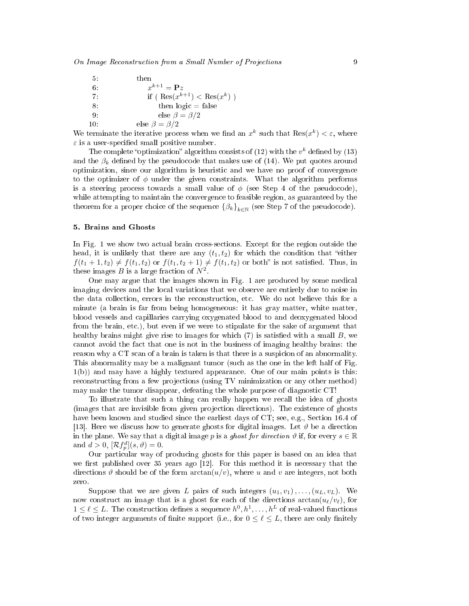| 5:  | then                                                          |
|-----|---------------------------------------------------------------|
| 6.  | $x^{k+1} = \mathbf{P}z$                                       |
| 7.  | if $(\operatorname{Res}(x^{k+1}) < \operatorname{Res}(x^k)$ ) |
| 8.  | then $logic = false$                                          |
| 9.  | else $\beta = \beta/2$                                        |
| 10: | else $\beta = \beta/2$                                        |

We terminate the iterative process when we find an  $x^k$  such that  $\text{Res}(x^k) < \varepsilon$ , where  $\varepsilon$  is a user-specified small positive number.

The complete "optimization" algorithm consists of (12) with the  $v<sup>k</sup>$  defined by (13) and the  $\beta_k$  defined by the pseudocode that makes use of (14). We put quotes around optimization, since our algorithm is heuristic and we have no proof of convergence to the optimizer of  $\phi$  under the given constraints. What the algorithm performs is a steering process towards a small value of  $\phi$  (see Step 4 of the pseudocode). while attempting to maintain the convergence to feasible region, as guaranteed by the theorem for a proper choice of the sequence  $\{\beta_k\}_{k\in\mathbb{N}}$  (see Step 7 of the pseudocode).

#### 5. Brains and Ghosts

In Fig. 1 we show two actual brain cross-sections. Except for the region outside the head, it is unlikely that there are any  $(t_1, t_2)$  for which the condition that "either  $f(t_1 + 1, t_2) \neq f(t_1, t_2)$  or  $f(t_1, t_2 + 1) \neq f(t_1, t_2)$  or both" is not satisfied. Thus, in these images  $B$  is a large fraction of  $N^2$ .

One may argue that the images shown in Fig. 1 are produced by some medical imaging devices and the local variations that we observe are entirely due to noise in the data collection, errors in the reconstruction, etc. We do not believe this for a minute (a brain is far from being homogeneous: it has gray matter, white matter, blood vessels and capillaries carrying oxygenated blood to and deoxygenated blood from the brain, etc.), but even if we were to stipulate for the sake of argument that healthy brains might give rise to images for which  $(7)$  is satisfied with a small  $B$ , we cannot avoid the fact that one is not in the business of imaging healthy brains: the reason why a CT scan of a brain is taken is that there is a suspicion of an abnormality. This abnormality may be a malignant tumor (such as the one in the left half of Fig. 1(b)) and may have a highly textured appearance. One of our main points is this: reconstructing from a few projections (using TV minimization or any other method) may make the tumor disappear, defeating the whole purpose of diagnostic CT!

To illustrate that such a thing can really happen we recall the idea of ghosts (images that are invisible from given projection directions). The existence of ghosts have been known and studied since the earliest days of CT; see, e.g., Section 16.4 of [13]. Here we discuss how to generate ghosts for digital images. Let  $\vartheta$  be a direction in the plane. We say that a digital image p is a ghost for direction  $\vartheta$  if, for every  $s \in \mathbb{R}$ and  $d > 0$ ,  $[\mathcal{R}f_p^d](s, \vartheta) = 0$ .

Our particular way of producing ghosts for this paper is based on an idea that we first published over 35 years ago [12]. For this method it is necessary that the directions  $\vartheta$  should be of the form  $arctan(u/v)$ , where u and v are integers, not both zero.

Suppose that we are given L pairs of such integers  $(u_1, v_1), \ldots, (u_L, v_L)$ . We now construct an image that is a ghost for each of the directions  $arctan(u_{\ell}/v_{\ell}),$  for  $1 \leq \ell \leq L$ . The construction defines a sequence  $h^0, h^1, \ldots, h^L$  of real-valued functions of two integer arguments of finite support (i.e., for  $0 \le \ell \le L$ , there are only finitely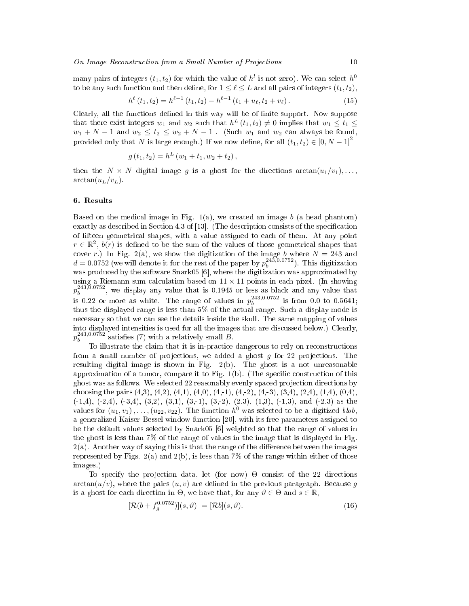many pairs of integers  $(t_1, t_2)$  for which the value of  $h^l$  is not zero). We can select  $h^0$ to be any such function and then define, for  $1 \leq \ell \leq L$  and all pairs of integers  $(t_1, t_2)$ ,

$$
h^{\ell}(t_1, t_2) = h^{\ell-1}(t_1, t_2) - h^{\ell-1}(t_1 + u_{\ell}, t_2 + v_{\ell}).
$$
\n(15)

Clearly, all the functions defined in this way will be of finite support. Now suppose that there exist integers  $w_1$  and  $w_2$  such that  $h^L(t_1, t_2) \neq 0$  implies that  $w_1 \leq t_1 \leq$  $w_1 + N - 1$  and  $w_2 \le t_2 \le w_2 + N - 1$ . (Such  $w_1$  and  $w_2$  can always be found, provided only that N is large enough.) If we now define, for all  $(t_1, t_2) \in [0, N - 1]^2$ 

$$
g(t_1, t_2) = h^L (w_1 + t_1, w_2 + t_2),
$$

then the  $N \times N$  digital image g is a ghost for the directions  $\arctan(u_1/v_1), \ldots$  $\arctan(u_L/v_L)$ .

#### 6. Results

Based on the medical image in Fig.  $1(a)$ , we created an image b (a head phantom) exactly as described in Section 4.3 of  $[13]$ . (The description consists of the specification of fteen geometrical shapes, with a value assigned to each of them. At any point  $r \in \mathbb{R}^2$ ,  $b(r)$  is defined to be the sum of the values of those geometrical shapes that cover r.) In Fig. 2(a), we show the digitization of the image b where  $N = 243$  and  $d = 0.0752$  (we will denote it for the rest of the paper by  $p_b^{243,0.0752}$ ). This digitization was produced by the software Snark05 [6], where the digitization was approximated by using a Riemann sum calculation based on  $11 \times 11$  points in each pixel. (In showing  $p_b^{243,0.0752}$ , we display any value that is 0.1945 or less as black and any value that is 0.22 or more as white. The range of values in  $p_b^{243,0.0752}$  is from 0.0 to 0.5641; thus the displayed range is less than 5% of the actual range. Such a display mode is necessary so that we can see the details inside the skull. The same mapping of values into displayed intensities is used for all the images that are discussed below.) Clearly,  $p_b^{243,0.0752}$  satisfies (7) with a relatively small  $\ddot{B}$ .

To illustrate the claim that it is in-practice dangerous to rely on reconstructions from a small number of projections, we added a ghost  $g$  for 22 projections. The resulting digital image is shown in Fig. 2(b). The ghost is a not unreasonable approximation of a tumor, compare it to Fig.  $1(b)$ . (The specific construction of this ghost was as follows. We selected 22 reasonably evenly spaced projection directions by choosing the pairs  $(4,3)$ ,  $(4,2)$ ,  $(4,1)$ ,  $(4,0)$ ,  $(4,-1)$ ,  $(4,-2)$ ,  $(4,-3)$ ,  $(3,4)$ ,  $(2,4)$ ,  $(1,4)$ ,  $(0,4)$ ,  $(-1,4)$ ,  $(-2,4)$ ,  $(-3,4)$ ,  $(3,2)$ ,  $(3,1)$ ,  $(3,-1)$ ,  $(3,-2)$ ,  $(2,3)$ ,  $(1,3)$ ,  $(-1,3)$ , and  $(-2,3)$  as the values for  $(u_1, v_1), \ldots, (u_{22}, v_{22})$ . The function  $h^0$  was selected to be a digitized blob, a generalized Kaiser-Bessel window function [20], with its free parameters assigned to be the default values selected by Snark05 [6] weighted so that the range of values in the ghost is less than 7% of the range of values in the image that is displayed in Fig.  $2(a)$ . Another way of saying this is that the range of the difference between the images represented by Figs.  $2(a)$  and  $2(b)$ , is less than 7% of the range within either of those images.)

To specify the projection data, let (for now)  $\Theta$  consist of the 22 directions  $arctan(u/v)$ , where the pairs  $(u, v)$  are defined in the previous paragraph. Because g is a ghost for each direction in  $\Theta$ , we have that, for any  $\vartheta \in \Theta$  and  $s \in \mathbb{R}$ ,

$$
[\mathcal{R}(b + f_g^{0.0752})](s,\vartheta) = [\mathcal{R}b](s,\vartheta). \tag{16}
$$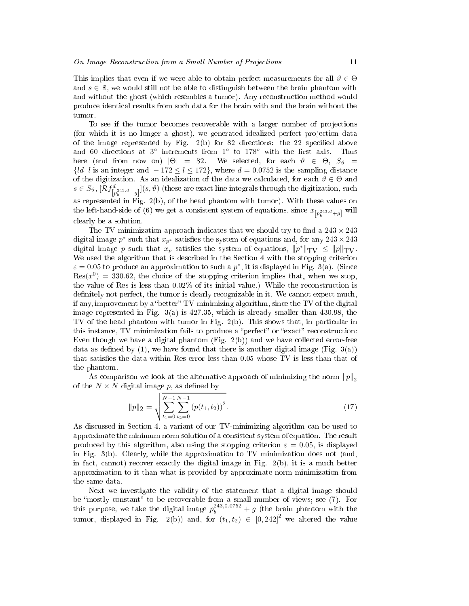This implies that even if we were able to obtain perfect measurements for all  $\vartheta \in \Theta$ and  $s \in \mathbb{R}$ , we would still not be able to distinguish between the brain phantom with and without the ghost (which resembles a tumor). Any reconstruction method would produce identical results from such data for the brain with and the brain without the

To see if the tumor becomes recoverable with a larger number of projections (for which it is no longer a ghost), we generated idealized perfect projection data of the image represented by Fig.  $2(b)$  for 82 directions: the 22 specified above and 60 directions at  $3^\circ$  increments from  $1^\circ$  to  $178^\circ$  with the first axis. Thus here (and from now on)  $|\Theta| = 82$ . We selected, for each  $\vartheta \in \Theta$ ,  $S_{\vartheta} =$  ${d | l$  is an integer and  $-172 \le l \le 172$ , where  $d = 0.0752$  is the sampling distance of the digitization. As an idealization of the data we calculated, for each  $\vartheta \in \Theta$  and  $s\in S_\vartheta, \ [\mathcal{R} f]_{p_b^{243,d}+g}^{d}] (s,\vartheta)$  (these are exact line integrals through the digitization, such as represented in Fig. 2(b), of the head phantom with tumor). With these values on the left-hand-side of (6) we get a consistent system of equations, since  $x_{\left[p_{b}^{243,d}+g\right]}$  will clearly be a solution.

The TV minimization approach indicates that we should try to find a  $243 \times 243$ digital image  $p^*$  such that  $x_{p^*}$  satisfies the system of equations and, for any  $243 \times 243$ digital image p such that  $x_p$  satisfies the system of equations,  $||p^*||_{TV} \le ||p||_{TV}$ . We used the algorithm that is described in the Section 4 with the stopping criterion  $\varepsilon = 0.05$  to produce an approximation to such a  $p^*$ , it is displayed in Fig. 3(a). (Since  $\text{Res}(x^0) = 330.62$ , the choice of the stopping criterion implies that, when we stop, the value of Res is less than 0.02% of its initial value.) While the reconstruction is definitely not perfect, the tumor is clearly recognizable in it. We cannot expect much. if any, improvement by a "better"  $TV$ -minimizing algorithm, since the TV of the digital image represented in Fig. 3(a) is 427.35, which is already smaller than 430.98, the TV of the head phantom with tumor in Fig. 2(b). This shows that, in particular in this instance, TV minimization fails to produce a "perfect" or "exact" reconstruction: Even though we have a digital phantom (Fig. 2(b)) and we have collected error-free data as defined by (1), we have found that there is another digital image (Fig. 3(a)) that satisfies the data within Res error less than  $0.05$  whose TV is less than that of the phantom.

As comparison we look at the alternative approach of minimizing the norm  $||p||_2$ of the  $N \times N$  digital image p, as defined by

$$
||p||_2 = \sqrt{\sum_{t_1=0}^{N-1} \sum_{t_2=0}^{N-1} (p(t_1, t_2))^2}.
$$
 (17)

As discussed in Section 4, a variant of our TV-minimizing algorithm can be used to approximate the minimum norm solution of a consistent system of equation. The result produced by this algorithm, also using the stopping criterion  $\varepsilon = 0.05$ , is displayed in Fig.  $3(b)$ . Clearly, while the approximation to TV minimization does not (and, in fact, cannot) recover exactly the digital image in Fig.  $2(b)$ , it is a much better approximation to it than what is provided by approximate norm minimization from the same data.

Next we investigate the validity of the statement that a digital image should this purpose, we take the digital image  $p_b^{243,0.0752} + g$  (the brain phantom with the tumor, displayed in Fig. 2(b)) and, for  $(t_1, t_2) \in [0, 242]^2$  we altered the value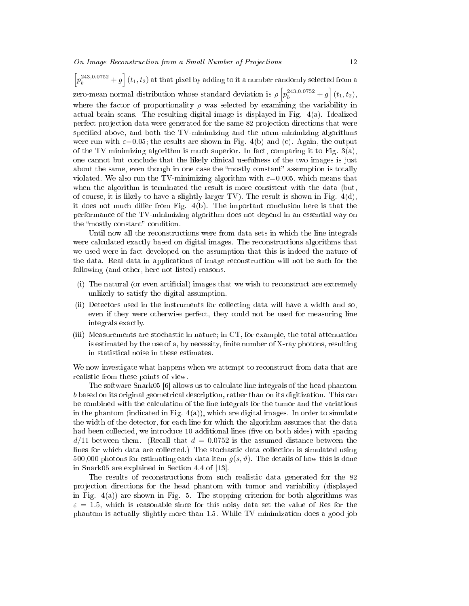$\left[p_b^{243,0.0752}+g\right](t_1,t_2)$  at that pixel by adding to it a number randomly selected from a zero-mean normal distribution whose standard deviation is  $\rho \left[ p_b^{243,0.0752} + g \right] (t_1, t_2)$ , where the factor of proportionality  $\rho$  was selected by examining the variability in actual brain scans. The resulting digital image is displayed in Fig. 4(a). Idealized perfect projection data were generated for the same 82 projection directions that were specified above, and both the TV-minimizing and the norm-minimizing algorithms were run with  $\varepsilon$ =0.05; the results are shown in Fig. 4(b) and (c). Again, the output of the TV minimizing algorithm is much superior. In fact, comparing it to Fig.  $3(a)$ . one cannot but conclude that the likely clinical usefulness of the two images is just about the same, even though in one case the "mostly constant" assumption is totally violated. We also run the TV-minimizing algorithm with  $\varepsilon=0.005$ , which means that when the algorithm is terminated the result is more consistent with the data (but, of course, it is likely to have a slightly larger TV). The result is shown in Fig.  $4(d)$ , it does not much differ from Fig.  $4(b)$ . The important conclusion here is that the performance of the TV-minimizing algorithm does not depend in an essential way on the "mostly constant" condition.

Until now all the reconstructions were from data sets in which the line integrals were calculated exactly based on digital images. The reconstructions algorithms that we used were in fact developed on the assumption that this is indeed the nature of the data. Real data in applications of image reconstruction will not be such for the following (and other, here not listed) reasons.

- (i) The natural (or even articial) images that we wish to reconstruct are extremely unlikely to satisfy the digital assumption.
- (ii) Detectors used in the instruments for collecting data will have a width and so, even if they were otherwise perfect, they could not be used for measuring line integrals exactly.
- (iii) Measurements are stochastic in nature; in CT, for example, the total attenuation is estimated by the use of a, by necessity, nite number of X-ray photons, resulting in statistical noise in these estimates.

We now investigate what happens when we attempt to reconstruct from data that are realistic from these points of view.

The software Snark05 [6] allows us to calculate line integrals of the head phantom b based on its original geometrical description, rather than on its digitization. This can be combined with the calculation of the line integrals for the tumor and the variations in the phantom (indicated in Fig.  $4(a)$ ), which are digital images. In order to simulate the width of the detector, for each line for which the algorithm assumes that the data had been collected, we introduce 10 additional lines (five on both sides) with spacing  $d/11$  between them. (Recall that  $d = 0.0752$  is the assumed distance between the lines for which data are collected.) The stochastic data collection is simulated using 500,000 photons for estimating each data item  $g(s, \vartheta)$ . The details of how this is done in Snark05 are explained in Section 4.4 of [13].

The results of reconstructions from such realistic data generated for the 82 pro jection directions for the head phantom with tumor and variability (displayed in Fig.  $4(a)$  are shown in Fig. 5. The stopping criterion for both algorithms was  $\varepsilon = 1.5$ , which is reasonable since for this noisy data set the value of Res for the phantom is actually slightly more than 1.5. While TV minimization does a good job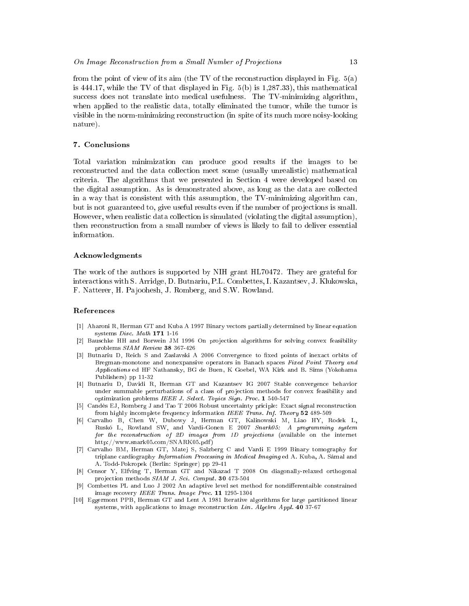from the point of view of its aim (the TV of the reconstruction displayed in Fig. 5(a) is 444.17, while the TV of that displayed in Fig. 5(b) is 1,287.33), this mathematical success does not translate into medical usefulness. The TV-minimizing algorithm, when applied to the realistic data, totally eliminated the tumor, while the tumor is visible in the norm-minimizing reconstruction (in spite of its much more noisy-looking nature).

#### 7. Conclusions

Total variation minimization can produce good results if the images to be reconstructed and the data collection meet some (usually unrealistic) mathematical criteria. The algorithms that we presented in Section 4 were developed based on the digital assumption. As is demonstrated above, as long as the data are collected in a way that is consistent with this assumption, the TV-minimizing algorithm can, but is not guaranteed to, give useful results even if the number of projections is small. However, when realistic data collection is simulated (violating the digital assumption), then reconstruction from a small number of views is likely to fail to deliver essential information.

#### Acknowledgments

The work of the authors is supported by NIH grant HL70472. They are grateful for interactions with S. Arridge, D. Butnariu, P.L. Combettes, I. Kazantsev, J. Klukowska, F. Natterer, H. Pa joohesh, J. Romberg, and S.W. Rowland.

#### References

- [1] Aharoni R, Herman GT and Kuba A 1997 Binary vectors partially determined by linear equation systems Disc. Math 171 1-16
- [2] Bauschke HH and Borwein JM 1996 On projection algorithms for solving convex feasibility problems SIAM Review 38 367-426
- [3] Butnariu D, Reich S and Zaslavski A 2006 Convergence to fixed points of inexact orbits of Bregman-monotone and nonexpansive operators in Banach spaces Fixed Point Theory and Applications ed HF Nathansky, BG de Buen, K Goebel, WA Kirk and B. Sims (Yokohama Publishers) pp 11-32
- [4] Butnariu D, Davidi R, Herman GT and Kazantsev IG 2007 Stable convergence behavior under summable perturbations of a class of projection methods for convex feasibility and optimization problems IEEE J. Select. Topics Sign. Proc. 1 540-547
- [5] Candès EJ, Romberg J and Tao T 2006 Robust uncertainty priciple: Exact signal reconstruction from highly incomplete frequency information IEEE Trans. Inf. Theory 52 489-509
- [6] Carvalho B, Chen W, Dubowy J, Herman GT, Kalinowski M, Liao HY, Rodek L, Ruskó L, Rowland SW, and Vardi-Gonen E 2007 Snark05: A programming system for the reconstruction of 2D images from 1D projections (available on the internet http://www.snark05.com/SNARK05.pdf )
- [7] Carvalho BM, Herman GT, Matej S, Salzberg C and Vardi E 1999 Binary tomography for triplane cardiography Information Processing in Medical Imaging ed A. Kuba, A. Sámal and A. Todd-Pokropek (Berlin: Springer) pp 29-41
- [8] Censor Y, Elfving T, Herman GT and Nikazad T 2008 On diagonally-relaxed orthogonal projection methods SIAM J. Sci. Comput. 30 473-504
- [9] Combettes PL and Luo J 2002 An adaptive level set method for nondifferentaible constrained image recovery IEEE Trans. Image Proc. 11 1295-1304
- [10] Eggermont PPB, Herman GT and Lent A 1981 Iterative algorithms for large partitioned linear systems, with applications to image reconstruction Lin. Algebra Appl. 40 37-67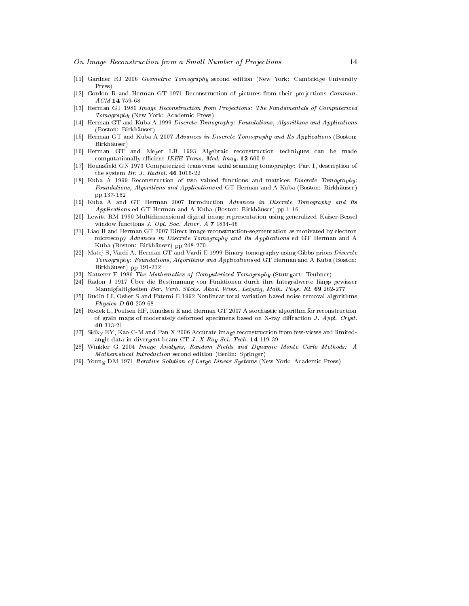- [11] Gardner RJ 2006 Geometric Tomography second edition (New York: Cambridge University Press)
- [12] Gordon R and Herman GT 1971 Reconstruction of pictures from their projections Commun. ACM 14 759-68
- [13] Herman GT 1980 Image Reconstruction from Projections: The Fundamentals of Computerized Tomography (New York: Academic Press)
- [14] Herman GT and Kuba A 1999 Discrete Tomography: Foundations, Algorithms and Applications (Boston: Birkhäuser) (Boston: Birkhäuser)
- [15] Herman GT and Kuba A 2007 Advances in Discrete Tomography and Its Applications (Boston: Birkhäuser)
- [16] Herman GT and Meyer LB 1993 Algebraic reconstruction techniques can be made computationally efficient IEEE Trans. Med. Imag. 12 600-9
- [17] Hounsfield GN 1973 Computerized transverse axial scanning tomography: Part I, description of the system Br. J. Radiol. 46 1016-22
- [18] Kuba A 1999 Reconstruction of two valued functions and matrices Discrete Tomography: Foundations, Algorithms and Applications ed GT Herman and A Kuba (Boston: Birkhäuser) pp 137-162
- [19] Kuba A and GT Herman 2007 Introduction Advances in Discrete Tomography and Its Applications ed GT Herman and A Kuba (Boston: Birkhäuser) pp 1-16
- [20] Lewitt RM 1990 Multidimensional digital image representation using generalized Kaiser-Bessel window functions J. Opt. Soc. Amer. A 7 1834-46
- [21] Liao H and Herman GT 2007 Direct image reconstruction-segmentation as motivated by electron microscopy Advances in Discrete Tomography and Its Applications ed GT Herman and A Kuba (Boston: Birkhäuser) pp 248-270
- [22] Matej S, Vardi A, Herman GT and Vardi E 1999 Binary tomography using Gibbs priors Discrete Tomography: Foundations, Algorithms and Applications ed GT Herman and A Kuba (Boston: Birkhäuser) pp 191-212
- [23] Natterer F 1986 The Mathematics of Computerized Tomography (Stuttgart: Teubner)

Physica D 60 259-68

- [24] Radon J 1917 Über die Bestimmung von Funktionen durch ihre Integralwerte längs gewisser
- Mannigfaltigkeiten Ber. Verh. Sächs. Akad. Wiss., Leipzig, Math. Phys. Kl. 69 262-277 [25] Rudin LI, Osher S and Fatemi E 1992 Nonlinear total variation based noise removal algorithms Physica  $D$  60 259-68
- [26] Rodek L, Poulsen HF, Knudsen E and Herman GT 2007 A stochastic algorithm for reconstruction of grain maps of moderately deformed specimens based on X-ray diffraction  $J.$  Appl. Cryst. 40 313 21
- [27] Sidky EY, Kao C-M and Pan X 2006 Accurate image reconstruction from few-views and limitedangle data in divergent-beam CT J. X-Ray Sci. Tech. 14 119-39
- [28] Winkler G 2004 Image Analysis, Random Fields and Dynamic Monte Carlo Methods: A Mathematical Introduction second edition (Berlin: Springer)
- [29] Young DM 1971 Iterative Solution of Large Linear Systems (New York: Academic Press)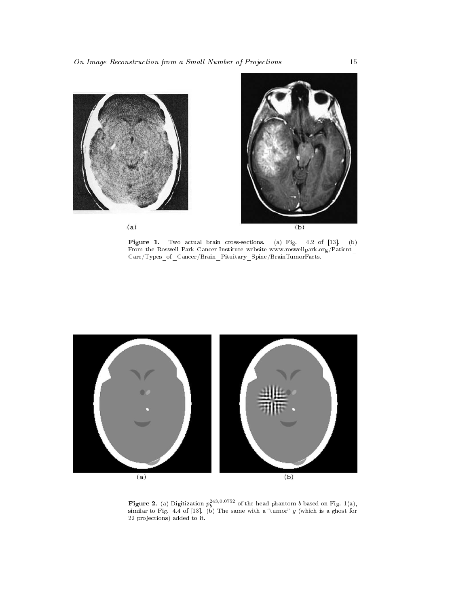

 $(a)$ 



Figure 1. Two actual brain cross-sections. (a) Fig. 4.2 of  $\mathbb{R}^2$ . (b) Fig. 4.2 of  $\mathbb{R}^2$ From the Roswell Park Cancer Institute website www.roswellpark.org/Patient\_  $\bf Care/Types\_of\_Cancer/Brain\_Pituitary\_Spine/BrainTumorFacts.$ 



**Figure 2.** (a) Digitization  $p_b^{243,0.0752}$  of the head phantom b based on Fig. 1(a), similar to Fig. 4.4 of [13]. (b) The same with a "tumor"  $g$  (which is a ghost for 22 pro jections) added to it.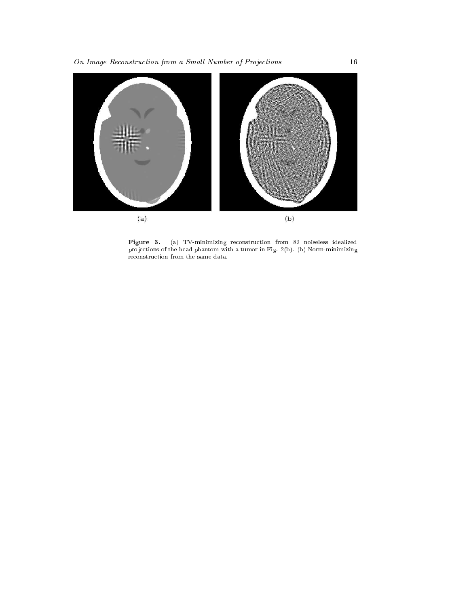

Figure 3. (a) TV-minimizing reconstruction from 82 noiseless idealized reconstruction from 82 noiseless idealized reconstruction from 82 noiseless idealized reconstruction from 82 noiseless idealized reconstruction from 8 pro jections of the head phantom with a tumor in Fig. 2(b). (b) Norm-minimizing reconstruction from the same data.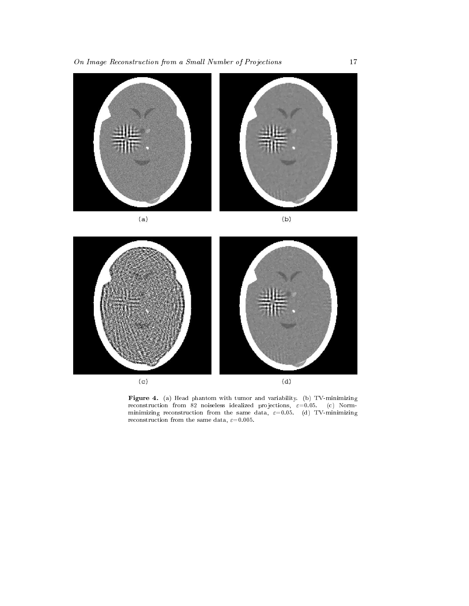

 $(a)$ 

 $(b)$ 



 $F = 2m + 1$ . (a) Head phantom with tumor and variability. (b) TV-minimizing minimizing reconstruction from the same data,  $\varepsilon=0.05$ . (d) TV-minimizing reconstruction from the same data,  $\varepsilon = 0.005$ .